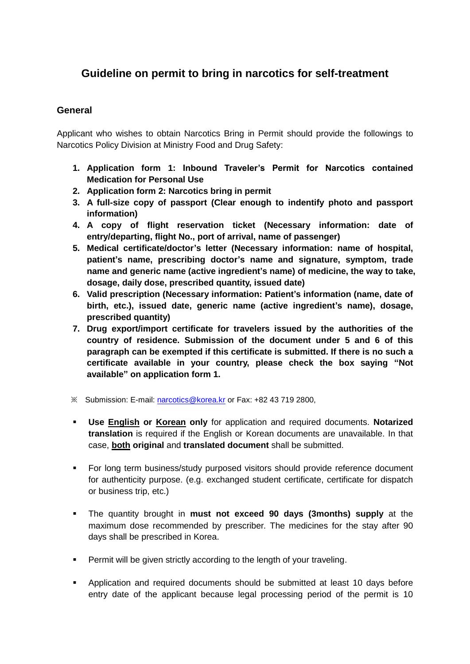## **Guideline on permit to bring in narcotics for self-treatment**

## **General**

Applicant who wishes to obtain Narcotics Bring in Permit should provide the followings to Narcotics Policy Division at Ministry Food and Drug Safety:

- **1. Application form 1: Inbound Traveler's Permit for Narcotics contained Medication for Personal Use**
- **2. Application form 2: Narcotics bring in permit**
- **3. A full-size copy of passport (Clear enough to indentify photo and passport information)**
- **4. A copy of flight reservation ticket (Necessary information: date of entry/departing, flight No., port of arrival, name of passenger)**
- **5. Medical certificate/doctor's letter (Necessary information: name of hospital, patient's name, prescribing doctor's name and signature, symptom, trade name and generic name (active ingredient's name) of medicine, the way to take, dosage, daily dose, prescribed quantity, issued date)**
- **6. Valid prescription (Necessary information: Patient's information (name, date of birth, etc.), issued date, generic name (active ingredient's name), dosage, prescribed quantity)**
- **7. Drug export/import certificate for travelers issued by the authorities of the country of residence. Submission of the document under 5 and 6 of this paragraph can be exempted if this certificate is submitted. If there is no such a certificate available in your country, please check the box saying "Not available" on application form 1.**
- ※ Submission: E-mail: [narcotics@korea.kr](mailto:narcotics@korea.kr) or Fax: +82 43 719 2800,
- **Use English or Korean only** for application and required documents. **Notarized translation** is required if the English or Korean documents are unavailable. In that case, **both original** and **translated document** shall be submitted.
- **For long term business/study purposed visitors should provide reference document** for authenticity purpose. (e.g. exchanged student certificate, certificate for dispatch or business trip, etc.)
- The quantity brought in **must not exceed 90 days (3months) supply** at the maximum dose recommended by prescriber. The medicines for the stay after 90 days shall be prescribed in Korea.
- **Permit will be given strictly according to the length of your traveling.**
- Application and required documents should be submitted at least 10 days before entry date of the applicant because legal processing period of the permit is 10